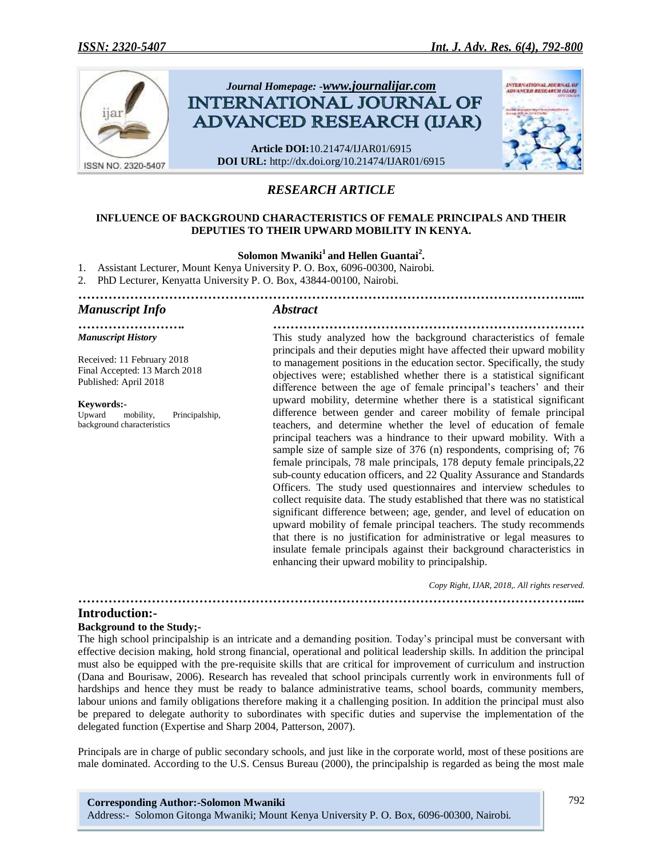

## *RESEARCH ARTICLE*

#### **INFLUENCE OF BACKGROUND CHARACTERISTICS OF FEMALE PRINCIPALS AND THEIR DEPUTIES TO THEIR UPWARD MOBILITY IN KENYA.**

#### **Solomon Mwaniki<sup>1</sup>and Hellen Guantai<sup>2</sup> .**

- 1. Assistant Lecturer, Mount Kenya University P. O. Box, 6096-00300, Nairobi.
- 2. PhD Lecturer, Kenyatta University P. O. Box, 43844-00100, Nairobi.
- *……………………………………………………………………………………………………....*

#### *Manuscript Info Abstract*

*……………………. ……………………………………………………………… Manuscript History*

Received: 11 February 2018 Final Accepted: 13 March 2018 Published: April 2018

# **Keywords:-**<br>Upward n

mobility, Principalship, background characteristics

This study analyzed how the background characteristics of female principals and their deputies might have affected their upward mobility to management positions in the education sector. Specifically, the study objectives were; established whether there is a statistical significant difference between the age of female principal's teachers' and their upward mobility, determine whether there is a statistical significant difference between gender and career mobility of female principal teachers, and determine whether the level of education of female principal teachers was a hindrance to their upward mobility. With a sample size of sample size of 376 (n) respondents, comprising of; 76 female principals, 78 male principals, 178 deputy female principals,22 sub-county education officers, and 22 Quality Assurance and Standards Officers. The study used questionnaires and interview schedules to collect requisite data. The study established that there was no statistical significant difference between; age, gender, and level of education on upward mobility of female principal teachers. The study recommends that there is no justification for administrative or legal measures to insulate female principals against their background characteristics in enhancing their upward mobility to principalship.

*Copy Right, IJAR, 2018,. All rights reserved.*

*……………………………………………………………………………………………………....*

#### **Introduction:-**

#### **Background to the Study;-**

The high school principalship is an intricate and a demanding position. Today's principal must be conversant with effective decision making, hold strong financial, operational and political leadership skills. In addition the principal must also be equipped with the pre-requisite skills that are critical for improvement of curriculum and instruction (Dana and Bourisaw, 2006). Research has revealed that school principals currently work in environments full of hardships and hence they must be ready to balance administrative teams, school boards, community members, labour unions and family obligations therefore making it a challenging position. In addition the principal must also be prepared to delegate authority to subordinates with specific duties and supervise the implementation of the delegated function (Expertise and Sharp 2004, Patterson, 2007).

Principals are in charge of public secondary schools, and just like in the corporate world, most of these positions are male dominated. According to the U.S. Census Bureau (2000), the principalship is regarded as being the most male

**Corresponding Author:-Solomon Mwaniki** Address:- Solomon Gitonga Mwaniki; Mount Kenya University P. O. Box, 6096-00300, Nairobi.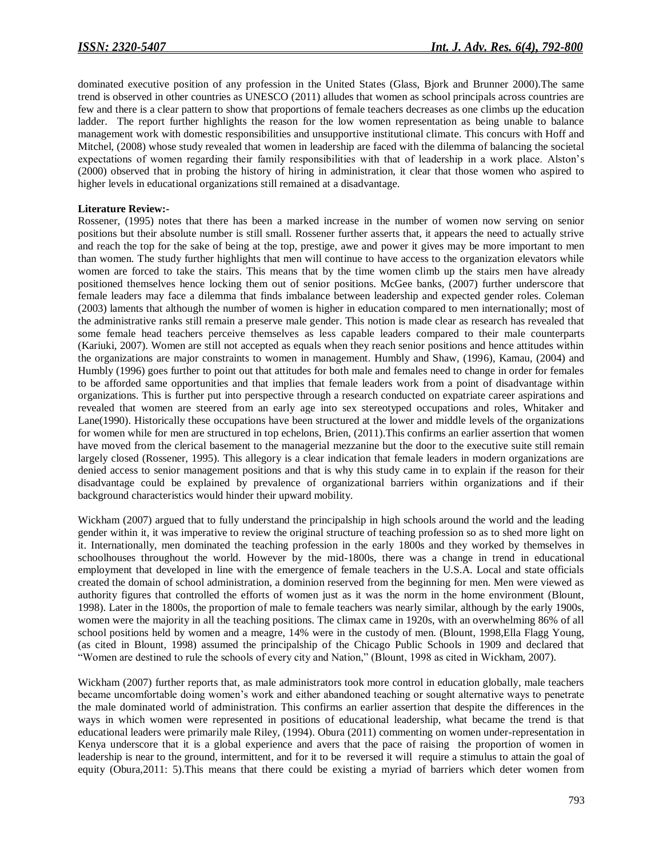dominated executive position of any profession in the United States (Glass, Bjork and Brunner 2000).The same trend is observed in other countries as UNESCO (2011) alludes that women as school principals across countries are few and there is a clear pattern to show that proportions of female teachers decreases as one climbs up the education ladder. The report further highlights the reason for the low women representation as being unable to balance management work with domestic responsibilities and unsupportive institutional climate. This concurs with Hoff and Mitchel, (2008) whose study revealed that women in leadership are faced with the dilemma of balancing the societal expectations of women regarding their family responsibilities with that of leadership in a work place. Alston's (2000) observed that in probing the history of hiring in administration, it clear that those women who aspired to higher levels in educational organizations still remained at a disadvantage.

#### **Literature Review:-**

Rossener, (1995) notes that there has been a marked increase in the number of women now serving on senior positions but their absolute number is still small. Rossener further asserts that, it appears the need to actually strive and reach the top for the sake of being at the top, prestige, awe and power it gives may be more important to men than women. The study further highlights that men will continue to have access to the organization elevators while women are forced to take the stairs. This means that by the time women climb up the stairs men have already positioned themselves hence locking them out of senior positions. McGee banks, (2007) further underscore that female leaders may face a dilemma that finds imbalance between leadership and expected gender roles. Coleman (2003) laments that although the number of women is higher in education compared to men internationally; most of the administrative ranks still remain a preserve male gender. This notion is made clear as research has revealed that some female head teachers perceive themselves as less capable leaders compared to their male counterparts (Kariuki, 2007). Women are still not accepted as equals when they reach senior positions and hence attitudes within the organizations are major constraints to women in management. Humbly and Shaw, (1996), Kamau, (2004) and Humbly (1996) goes further to point out that attitudes for both male and females need to change in order for females to be afforded same opportunities and that implies that female leaders work from a point of disadvantage within organizations. This is further put into perspective through a research conducted on expatriate career aspirations and revealed that women are steered from an early age into sex stereotyped occupations and roles, Whitaker and Lane(1990). Historically these occupations have been structured at the lower and middle levels of the organizations for women while for men are structured in top echelons, Brien, (2011).This confirms an earlier assertion that women have moved from the clerical basement to the managerial mezzanine but the door to the executive suite still remain largely closed (Rossener, 1995). This allegory is a clear indication that female leaders in modern organizations are denied access to senior management positions and that is why this study came in to explain if the reason for their disadvantage could be explained by prevalence of organizational barriers within organizations and if their background characteristics would hinder their upward mobility.

Wickham (2007) argued that to fully understand the principalship in high schools around the world and the leading gender within it, it was imperative to review the original structure of teaching profession so as to shed more light on it. Internationally, men dominated the teaching profession in the early 1800s and they worked by themselves in schoolhouses throughout the world. However by the mid-1800s, there was a change in trend in educational employment that developed in line with the emergence of female teachers in the U.S.A. Local and state officials created the domain of school administration, a dominion reserved from the beginning for men. Men were viewed as authority figures that controlled the efforts of women just as it was the norm in the home environment (Blount, 1998). Later in the 1800s, the proportion of male to female teachers was nearly similar, although by the early 1900s, women were the majority in all the teaching positions. The climax came in 1920s, with an overwhelming 86% of all school positions held by women and a meagre, 14% were in the custody of men. (Blount, 1998,Ella Flagg Young, (as cited in Blount, 1998) assumed the principalship of the Chicago Public Schools in 1909 and declared that "Women are destined to rule the schools of every city and Nation," (Blount, 1998 as cited in Wickham, 2007).

Wickham (2007) further reports that, as male administrators took more control in education globally, male teachers became uncomfortable doing women's work and either abandoned teaching or sought alternative ways to penetrate the male dominated world of administration. This confirms an earlier assertion that despite the differences in the ways in which women were represented in positions of educational leadership, what became the trend is that educational leaders were primarily male Riley, (1994). Obura (2011) commenting on women under-representation in Kenya underscore that it is a global experience and avers that the pace of raising the proportion of women in leadership is near to the ground, intermittent, and for it to be reversed it will require a stimulus to attain the goal of equity (Obura,2011: 5).This means that there could be existing a myriad of barriers which deter women from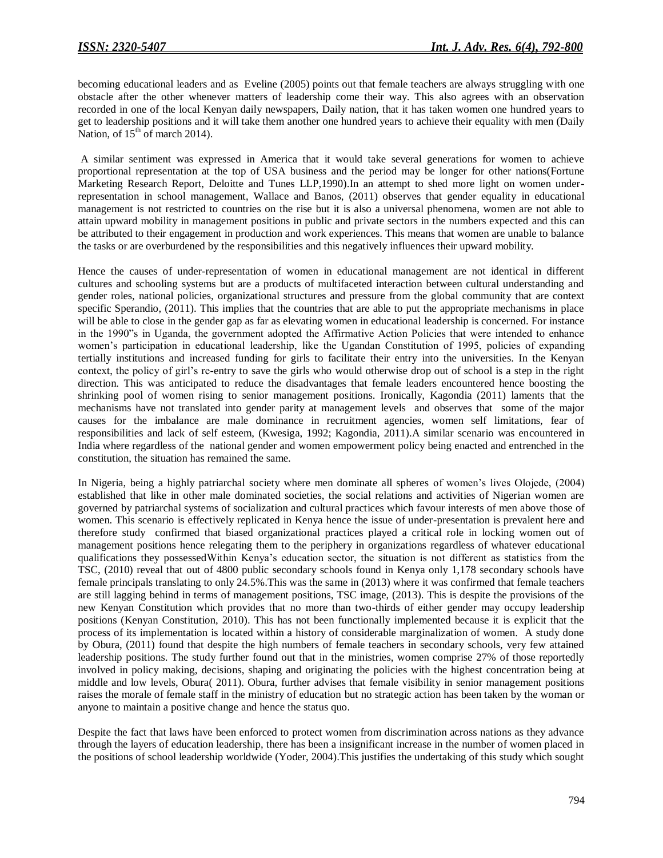becoming educational leaders and as Eveline (2005) points out that female teachers are always struggling with one obstacle after the other whenever matters of leadership come their way. This also agrees with an observation recorded in one of the local Kenyan daily newspapers, Daily nation, that it has taken women one hundred years to get to leadership positions and it will take them another one hundred years to achieve their equality with men (Daily Nation, of  $15<sup>th</sup>$  of march 2014).

A similar sentiment was expressed in America that it would take several generations for women to achieve proportional representation at the top of USA business and the period may be longer for other nations(Fortune Marketing Research Report, Deloitte and Tunes LLP,1990).In an attempt to shed more light on women underrepresentation in school management, Wallace and Banos, (2011) observes that gender equality in educational management is not restricted to countries on the rise but it is also a universal phenomena, women are not able to attain upward mobility in management positions in public and private sectors in the numbers expected and this can be attributed to their engagement in production and work experiences. This means that women are unable to balance the tasks or are overburdened by the responsibilities and this negatively influences their upward mobility.

Hence the causes of under-representation of women in educational management are not identical in different cultures and schooling systems but are a products of multifaceted interaction between cultural understanding and gender roles, national policies, organizational structures and pressure from the global community that are context specific Sperandio, (2011). This implies that the countries that are able to put the appropriate mechanisms in place will be able to close in the gender gap as far as elevating women in educational leadership is concerned. For instance in the 1990"s in Uganda, the government adopted the Affirmative Action Policies that were intended to enhance women's participation in educational leadership, like the Ugandan Constitution of 1995, policies of expanding tertially institutions and increased funding for girls to facilitate their entry into the universities. In the Kenyan context, the policy of girl's re-entry to save the girls who would otherwise drop out of school is a step in the right direction. This was anticipated to reduce the disadvantages that female leaders encountered hence boosting the shrinking pool of women rising to senior management positions. Ironically, Kagondia (2011) laments that the mechanisms have not translated into gender parity at management levels and observes that some of the major causes for the imbalance are male dominance in recruitment agencies, women self limitations, fear of responsibilities and lack of self esteem, (Kwesiga, 1992; Kagondia, 2011).A similar scenario was encountered in India where regardless of the national gender and women empowerment policy being enacted and entrenched in the constitution, the situation has remained the same.

In Nigeria, being a highly patriarchal society where men dominate all spheres of women's lives Olojede, (2004) established that like in other male dominated societies, the social relations and activities of Nigerian women are governed by patriarchal systems of socialization and cultural practices which favour interests of men above those of women. This scenario is effectively replicated in Kenya hence the issue of under-presentation is prevalent here and therefore study confirmed that biased organizational practices played a critical role in locking women out of management positions hence relegating them to the periphery in organizations regardless of whatever educational qualifications they possessedWithin Kenya's education sector, the situation is not different as statistics from the TSC, (2010) reveal that out of 4800 public secondary schools found in Kenya only 1,178 secondary schools have female principals translating to only 24.5%.This was the same in (2013) where it was confirmed that female teachers are still lagging behind in terms of management positions, TSC image, (2013). This is despite the provisions of the new Kenyan Constitution which provides that no more than two-thirds of either gender may occupy leadership positions (Kenyan Constitution, 2010). This has not been functionally implemented because it is explicit that the process of its implementation is located within a history of considerable marginalization of women. A study done by Obura, (2011) found that despite the high numbers of female teachers in secondary schools, very few attained leadership positions. The study further found out that in the ministries, women comprise 27% of those reportedly involved in policy making, decisions, shaping and originating the policies with the highest concentration being at middle and low levels, Obura( 2011). Obura, further advises that female visibility in senior management positions raises the morale of female staff in the ministry of education but no strategic action has been taken by the woman or anyone to maintain a positive change and hence the status quo.

Despite the fact that laws have been enforced to protect women from discrimination across nations as they advance through the layers of education leadership, there has been a insignificant increase in the number of women placed in the positions of school leadership worldwide (Yoder, 2004).This justifies the undertaking of this study which sought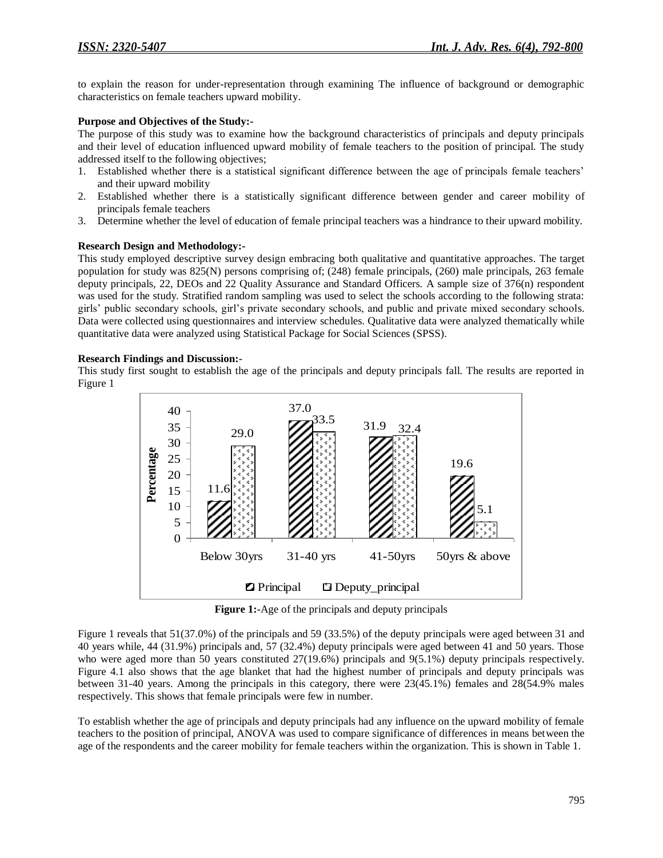to explain the reason for under-representation through examining The influence of background or demographic characteristics on female teachers upward mobility.

#### **Purpose and Objectives of the Study:-**

The purpose of this study was to examine how the background characteristics of principals and deputy principals and their level of education influenced upward mobility of female teachers to the position of principal. The study addressed itself to the following objectives;

- 1. Established whether there is a statistical significant difference between the age of principals female teachers' and their upward mobility
- 2. Established whether there is a statistically significant difference between gender and career mobility of principals female teachers
- 3. Determine whether the level of education of female principal teachers was a hindrance to their upward mobility.

#### **Research Design and Methodology:-**

This study employed descriptive survey design embracing both qualitative and quantitative approaches. The target population for study was 825(N) persons comprising of; (248) female principals, (260) male principals, 263 female deputy principals, 22, DEOs and 22 Quality Assurance and Standard Officers. A sample size of 376(n) respondent was used for the study. Stratified random sampling was used to select the schools according to the following strata: girls' public secondary schools, girl's private secondary schools, and public and private mixed secondary schools. Data were collected using questionnaires and interview schedules. Qualitative data were analyzed thematically while quantitative data were analyzed using Statistical Package for Social Sciences (SPSS).

#### **Research Findings and Discussion:-**

This study first sought to establish the age of the principals and deputy principals fall. The results are reported in Figure 1



**Figure 1:-**Age of the principals and deputy principals

Figure 1 reveals that 51(37.0%) of the principals and 59 (33.5%) of the deputy principals were aged between 31 and 40 years while, 44 (31.9%) principals and, 57 (32.4%) deputy principals were aged between 41 and 50 years. Those who were aged more than 50 years constituted 27(19.6%) principals and 9(5.1%) deputy principals respectively. Figure 4.1 also shows that the age blanket that had the highest number of principals and deputy principals was between 31-40 years. Among the principals in this category, there were 23(45.1%) females and 28(54.9% males respectively. This shows that female principals were few in number.

To establish whether the age of principals and deputy principals had any influence on the upward mobility of female teachers to the position of principal, ANOVA was used to compare significance of differences in means between the age of the respondents and the career mobility for female teachers within the organization. This is shown in Table 1.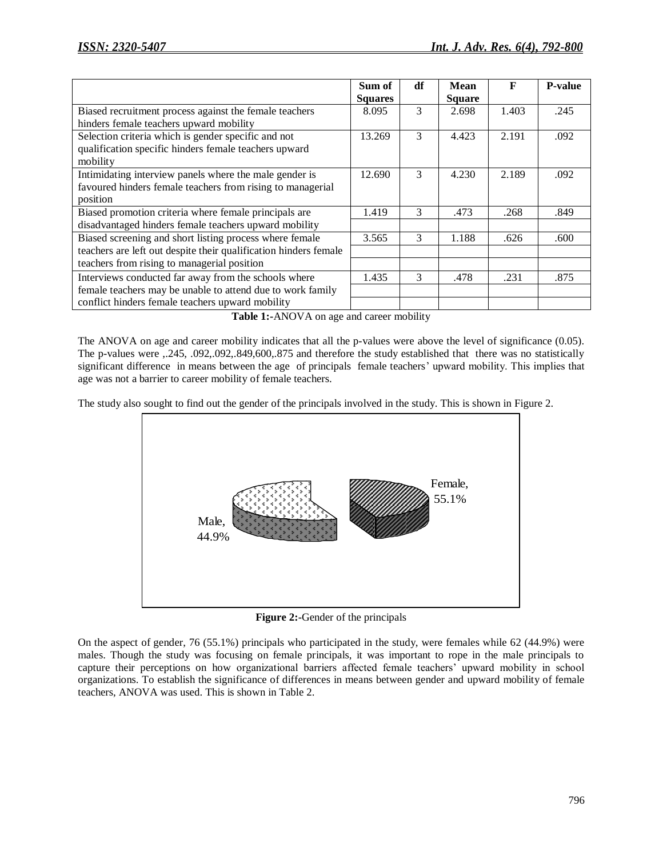|                                                                  | Sum of         | df | <b>Mean</b>   | F     | <b>P-value</b> |
|------------------------------------------------------------------|----------------|----|---------------|-------|----------------|
|                                                                  | <b>Squares</b> |    | <b>Square</b> |       |                |
| Biased recruitment process against the female teachers           | 8.095          | 3  | 2.698         | 1.403 | .245           |
| hinders female teachers upward mobility                          |                |    |               |       |                |
| Selection criteria which is gender specific and not              | 13.269         | 3  | 4.423         | 2.191 | .092           |
| qualification specific hinders female teachers upward            |                |    |               |       |                |
| mobility                                                         |                |    |               |       |                |
| Intimidating interview panels where the male gender is           | 12.690         | 3  | 4.230         | 2.189 | .092           |
| favoured hinders female teachers from rising to managerial       |                |    |               |       |                |
| position                                                         |                |    |               |       |                |
| Biased promotion criteria where female principals are            | 1.419          | 3  | .473          | .268  | .849           |
| disadvantaged hinders female teachers upward mobility            |                |    |               |       |                |
| Biased screening and short listing process where female          | 3.565          | 3  | 1.188         | .626  | .600           |
| teachers are left out despite their qualification hinders female |                |    |               |       |                |
| teachers from rising to managerial position                      |                |    |               |       |                |
| Interviews conducted far away from the schools where             | 1.435          | 3  | .478          | .231  | .875           |
| female teachers may be unable to attend due to work family       |                |    |               |       |                |
| conflict hinders female teachers upward mobility                 |                |    |               |       |                |

**Table 1:-**ANOVA on age and career mobility

The ANOVA on age and career mobility indicates that all the p-values were above the level of significance (0.05). The p-values were ,.245, .092,.092,.849,600,.875 and therefore the study established that there was no statistically significant difference in means between the age of principals female teachers' upward mobility. This implies that age was not a barrier to career mobility of female teachers.

The study also sought to find out the gender of the principals involved in the study. This is shown in Figure 2.



**Figure 2:-**Gender of the principals

On the aspect of gender, 76 (55.1%) principals who participated in the study, were females while 62 (44.9%) were males. Though the study was focusing on female principals, it was important to rope in the male principals to capture their perceptions on how organizational barriers affected female teachers' upward mobility in school organizations. To establish the significance of differences in means between gender and upward mobility of female teachers, ANOVA was used. This is shown in Table 2.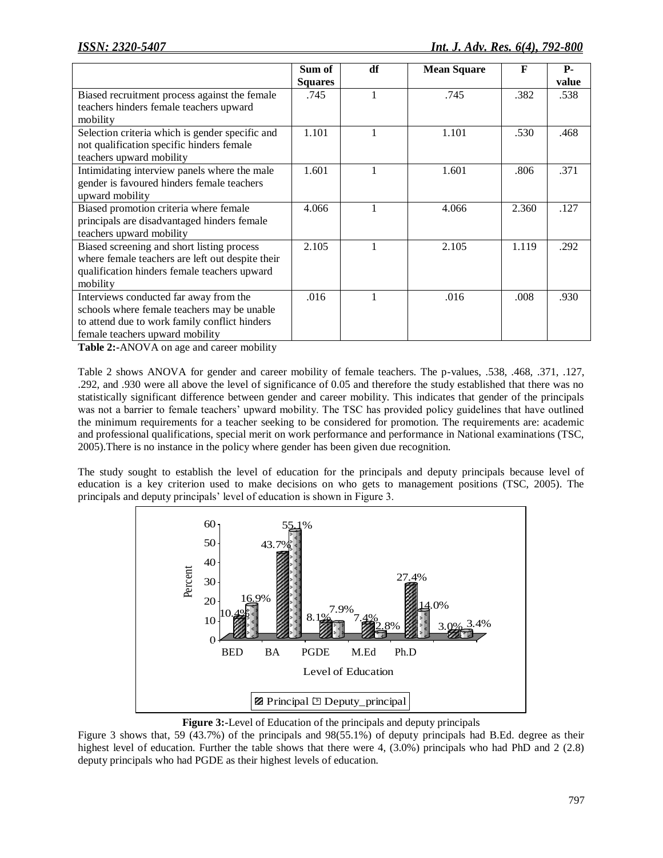|                                                  | Sum of         | df | <b>Mean Square</b> | F     | <b>P</b> - |
|--------------------------------------------------|----------------|----|--------------------|-------|------------|
|                                                  | <b>Squares</b> |    |                    |       | value      |
| Biased recruitment process against the female    | .745           | 1  | .745               | .382  | .538       |
| teachers hinders female teachers upward          |                |    |                    |       |            |
| mobility                                         |                |    |                    |       |            |
| Selection criteria which is gender specific and  | 1.101          |    | 1.101              | .530  | .468       |
| not qualification specific hinders female        |                |    |                    |       |            |
| teachers upward mobility                         |                |    |                    |       |            |
| Intimidating interview panels where the male     | 1.601          |    | 1.601              | .806  | .371       |
| gender is favoured hinders female teachers       |                |    |                    |       |            |
| upward mobility                                  |                |    |                    |       |            |
| Biased promotion criteria where female           | 4.066          |    | 4.066              | 2.360 | .127       |
| principals are disadvantaged hinders female      |                |    |                    |       |            |
| teachers upward mobility                         |                |    |                    |       |            |
| Biased screening and short listing process       | 2.105          | 1  | 2.105              | 1.119 | .292       |
| where female teachers are left out despite their |                |    |                    |       |            |
| qualification hinders female teachers upward     |                |    |                    |       |            |
| mobility                                         |                |    |                    |       |            |
| Interviews conducted far away from the           | .016           |    | .016               | .008  | .930       |
| schools where female teachers may be unable      |                |    |                    |       |            |
| to attend due to work family conflict hinders    |                |    |                    |       |            |
| female teachers upward mobility                  |                |    |                    |       |            |

**Table 2:-**ANOVA on age and career mobility

Table 2 shows ANOVA for gender and career mobility of female teachers. The p-values, .538, .468, .371, .127, .292, and .930 were all above the level of significance of 0.05 and therefore the study established that there was no statistically significant difference between gender and career mobility. This indicates that gender of the principals was not a barrier to female teachers' upward mobility. The TSC has provided policy guidelines that have outlined the minimum requirements for a teacher seeking to be considered for promotion. The requirements are: academic and professional qualifications, special merit on work performance and performance in National examinations (TSC, 2005).There is no instance in the policy where gender has been given due recognition.

The study sought to establish the level of education for the principals and deputy principals because level of education is a key criterion used to make decisions on who gets to management positions (TSC, 2005). The principals and deputy principals' level of education is shown in Figure 3.



**Figure 3:-**Level of Education of the principals and deputy principals

Figure 3 shows that, 59 (43.7%) of the principals and 98(55.1%) of deputy principals had B.Ed. degree as their highest level of education. Further the table shows that there were 4, (3.0%) principals who had PhD and 2 (2.8) deputy principals who had PGDE as their highest levels of education.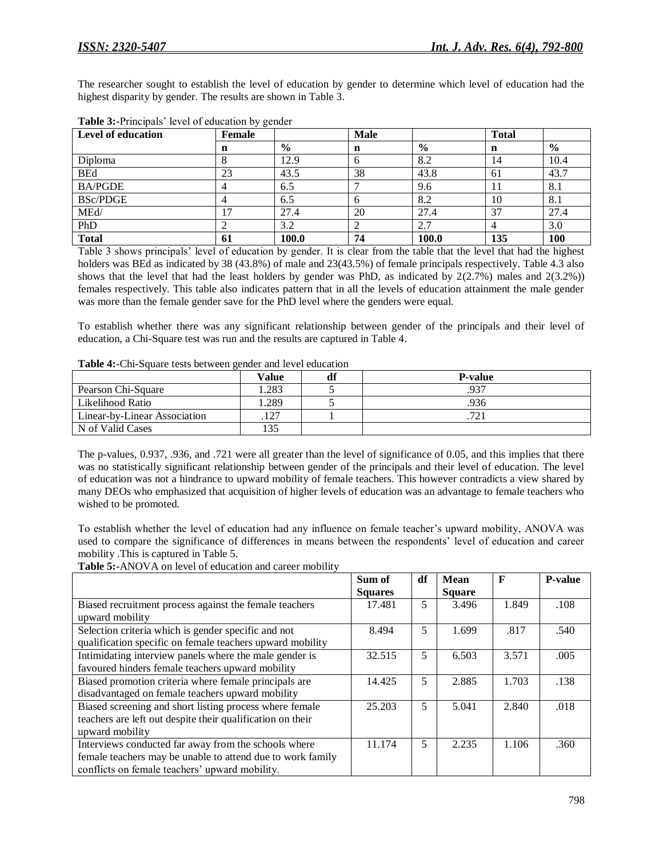The researcher sought to establish the level of education by gender to determine which level of education had the highest disparity by gender. The results are shown in Table 3.

| <b>Level of education</b> | $\sim$<br><b>Female</b> |               | <b>Male</b> |       | <b>Total</b> |               |
|---------------------------|-------------------------|---------------|-------------|-------|--------------|---------------|
|                           | n                       | $\frac{6}{9}$ | n           | $\%$  | n            | $\frac{0}{0}$ |
| Diploma                   |                         | 12.9          | o           | 8.2   | 14           | 10.4          |
| <b>BEd</b>                | 23                      | 43.5          | 38          | 43.8  | 61           | 43.7          |
| <b>BA/PGDE</b>            |                         | 6.5           |             | 9.6   |              | 8.1           |
| <b>BSc/PDGE</b>           |                         | 6.5           |             | 8.2   | 10           | 8.1           |
| MEd/                      |                         | 27.4          | 20          | 27.4  | 37           | 27.4          |
| PhD                       |                         | 3.2           |             | 2.7   |              | 3.0           |
| <b>Total</b>              | 61                      | 100.0         | 74          | 100.0 | 135          | 100           |

| Table 3:-Principals' level of education by gender |  |
|---------------------------------------------------|--|
|---------------------------------------------------|--|

Table 3 shows principals' level of education by gender. It is clear from the table that the level that had the highest holders was BEd as indicated by 38 (43.8%) of male and 23(43.5%) of female principals respectively. Table 4.3 also shows that the level that had the least holders by gender was PhD, as indicated by 2(2.7%) males and 2(3.2%)) females respectively. This table also indicates pattern that in all the levels of education attainment the male gender was more than the female gender save for the PhD level where the genders were equal.

To establish whether there was any significant relationship between gender of the principals and their level of education, a Chi-Square test was run and the results are captured in Table 4.

| $-$ 0.000 $-$ 0.000 $-$ 0.000 $-$ 0.000 $-$ 0.000 $-$ 0.000 $-$ 0.000 $-$ 0.000 $-$ 0.000 $-$ 0.000 $-$ 0.000 $-$ 0.000 $-$ 0.000 $-$ 0.000 $-$ 0.000 $-$ 0.000 $-$ 0.000 $-$ 0.000 $-$ 0.000 $-$ 0.000 $-$ 0.000 $-$ 0.000 |       |    |                              |  |  |  |
|-----------------------------------------------------------------------------------------------------------------------------------------------------------------------------------------------------------------------------|-------|----|------------------------------|--|--|--|
|                                                                                                                                                                                                                             | Value | df | <b>P-value</b>               |  |  |  |
| Pearson Chi-Square                                                                                                                                                                                                          | .283  |    | 937                          |  |  |  |
| Likelihood Ratio                                                                                                                                                                                                            | .289  |    | .936                         |  |  |  |
| <b>Linear-by-Linear Association</b>                                                                                                                                                                                         | 127   |    | $72^{\circ}$<br>. <i>. .</i> |  |  |  |
| N of Valid Cases                                                                                                                                                                                                            | 135   |    |                              |  |  |  |

**Table 4:-**Chi-Square tests between gender and level education

The p-values, 0.937, .936, and .721 were all greater than the level of significance of 0.05, and this implies that there was no statistically significant relationship between gender of the principals and their level of education. The level of education was not a hindrance to upward mobility of female teachers. This however contradicts a view shared by many DEOs who emphasized that acquisition of higher levels of education was an advantage to female teachers who wished to be promoted.

To establish whether the level of education had any influence on female teacher's upward mobility, ANOVA was used to compare the significance of differences in means between the respondents' level of education and career mobility .This is captured in Table 5.

**Table 5:-**ANOVA on level of education and career mobility

|                                                            | Sum of         | df | Mean          | F     | <b>P-value</b> |
|------------------------------------------------------------|----------------|----|---------------|-------|----------------|
|                                                            | <b>Squares</b> |    | <b>Square</b> |       |                |
| Biased recruitment process against the female teachers     | 17.481         | 5  | 3.496         | 1.849 | .108           |
| upward mobility                                            |                |    |               |       |                |
| Selection criteria which is gender specific and not        | 8.494          | 5  | 1.699         | .817  | .540           |
| qualification specific on female teachers upward mobility  |                |    |               |       |                |
| Intimidating interview panels where the male gender is     | 32.515         | 5  | 6.503         | 3.571 | .005           |
| favoured hinders female teachers upward mobility           |                |    |               |       |                |
| Biased promotion criteria where female principals are      | 14.425         | 5  | 2.885         | 1.703 | .138           |
| disadvantaged on female teachers upward mobility           |                |    |               |       |                |
| Biased screening and short listing process where female    | 25.203         | 5  | 5.041         | 2.840 | .018           |
| teachers are left out despite their qualification on their |                |    |               |       |                |
| upward mobility                                            |                |    |               |       |                |
| Interviews conducted far away from the schools where       | 11.174         | 5  | 2.235         | 1.106 | .360           |
| female teachers may be unable to attend due to work family |                |    |               |       |                |
| conflicts on female teachers' upward mobility.             |                |    |               |       |                |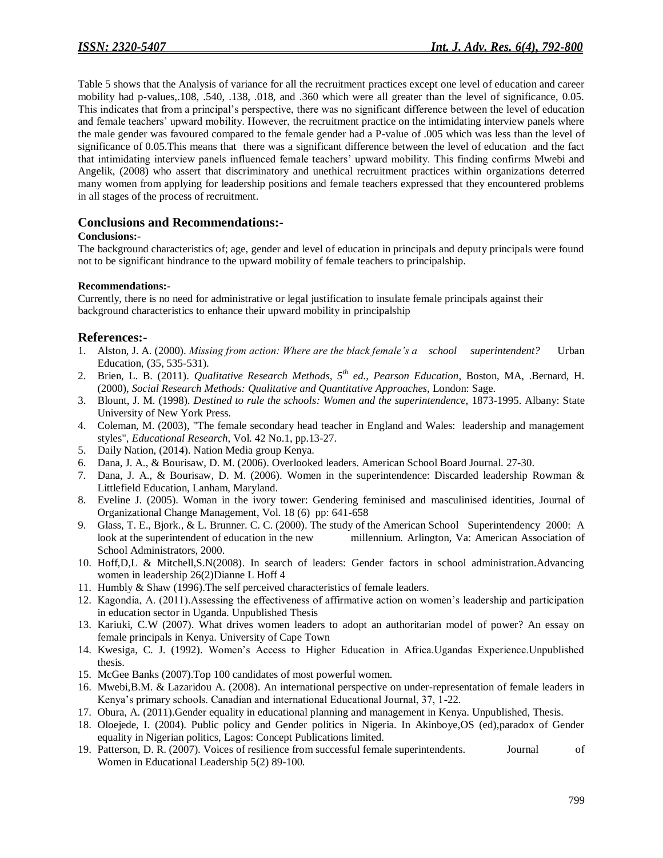Table 5 shows that the Analysis of variance for all the recruitment practices except one level of education and career mobility had p-values,.108, .540, .138, .018, and .360 which were all greater than the level of significance, 0.05. This indicates that from a principal's perspective, there was no significant difference between the level of education and female teachers' upward mobility. However, the recruitment practice on the intimidating interview panels where the male gender was favoured compared to the female gender had a P-value of .005 which was less than the level of significance of 0.05.This means that there was a significant difference between the level of education and the fact that intimidating interview panels influenced female teachers' upward mobility. This finding confirms Mwebi and Angelik, (2008) who assert that discriminatory and unethical recruitment practices within organizations deterred many women from applying for leadership positions and female teachers expressed that they encountered problems in all stages of the process of recruitment.

### **Conclusions and Recommendations:-**

#### **Conclusions:-**

The background characteristics of; age, gender and level of education in principals and deputy principals were found not to be significant hindrance to the upward mobility of female teachers to principalship.

#### **Recommendations:-**

Currently, there is no need for administrative or legal justification to insulate female principals against their background characteristics to enhance their upward mobility in principalship

#### **References:-**

- 1. Alston, J. A. (2000). *Missing from action: Where are the black female's a school superintendent?* Urban Education, (35, 535-531).
- 2. Brien, L. B. (2011). *Qualitative Research Methods, 5th ed., Pearson Education*, Boston, MA, .Bernard, H. (2000), *Social Research Methods: Qualitative and Quantitative Approaches,* London: Sage.
- 3. Blount, J. M. (1998). *Destined to rule the schools: Women and the superintendence,* 1873-1995. Albany: State University of New York Press.
- 4. Coleman, M. (2003), "The female secondary head teacher in England and Wales: leadership and management styles", *Educational Research*, Vol. 42 No.1, pp.13-27.
- 5. Daily Nation, (2014). Nation Media group Kenya.
- 6. Dana, J. A., & Bourisaw, D. M. (2006). Overlooked leaders. American School Board Journal. 27-30.
- 7. Dana, J. A., & Bourisaw, D. M. (2006). Women in the superintendence: Discarded leadership Rowman & Littlefield Education, Lanham, Maryland.
- 8. Eveline J. (2005). Woman in the ivory tower: Gendering feminised and masculinised identities, Journal of Organizational Change Management, Vol. 18 (6) pp: 641-658
- 9. Glass, T. E., Bjork., & L. Brunner. C. C. (2000). The study of the American School Superintendency 2000: A look at the superintendent of education in the new millennium. Arlington, Va: American Association of School Administrators, 2000.
- 10. Hoff,D,L & Mitchell,S.N(2008). In search of leaders: Gender factors in school administration.Advancing women in leadership 26(2)Dianne L Hoff 4
- 11. Humbly & Shaw (1996).The self perceived characteristics of female leaders.
- 12. Kagondia, A. (2011).Assessing the effectiveness of affirmative action on women's leadership and participation in education sector in Uganda. Unpublished Thesis
- 13. Kariuki, C.W (2007). What drives women leaders to adopt an authoritarian model of power? An essay on female principals in Kenya. University of Cape Town
- 14. Kwesiga, C. J. (1992). Women's Access to Higher Education in Africa.Ugandas Experience.Unpublished thesis.
- 15. McGee Banks (2007).Top 100 candidates of most powerful women.
- 16. Mwebi,B.M. & Lazaridou A. (2008). An international perspective on under-representation of female leaders in Kenya's primary schools. Canadian and international Educational Journal, 37, 1-22.
- 17. Obura, A. (2011).Gender equality in educational planning and management in Kenya. Unpublished, Thesis.
- 18. Oloejede, I. (2004). Public policy and Gender politics in Nigeria. In Akinboye,OS (ed),paradox of Gender equality in Nigerian politics, Lagos: Concept Publications limited.
- 19. Patterson, D. R. (2007). Voices of resilience from successful female superintendents. Journal of Women in Educational Leadership 5(2) 89-100.